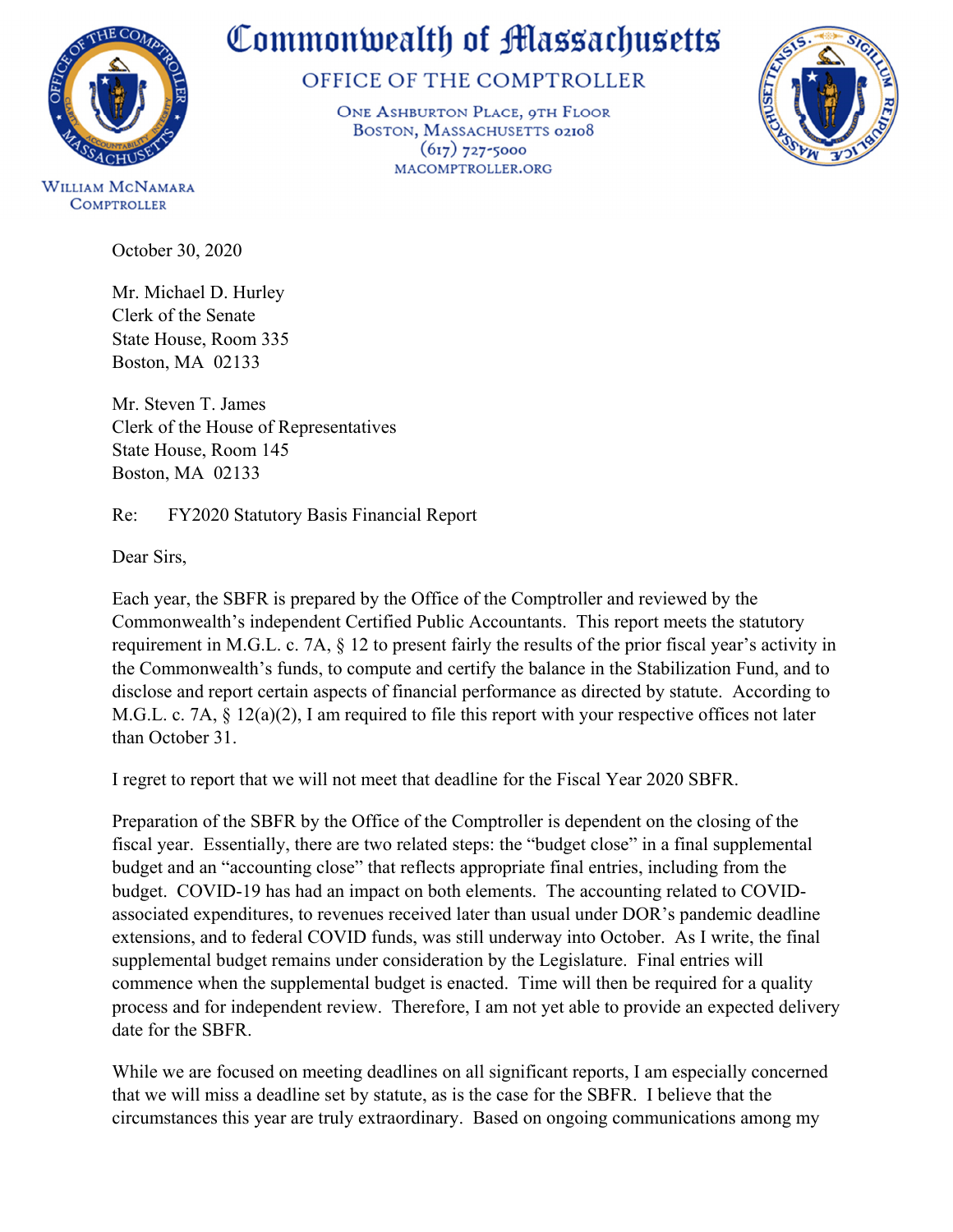

## Commonwealth of Massachusetts

## OFFICE OF THE COMPTROLLER

ONE ASHBURTON PLACE, 9TH FLOOR BOSTON, MASSACHUSETTS 02108  $(617)$  727-5000 MACOMPTROLLER.ORG



WILLIAM MCNAMARA **COMPTROLLER** 

October 30, 2020

Mr. Michael D. Hurley Clerk of the Senate State House, Room 335 Boston, MA 02133

Mr. Steven T. James Clerk of the House of Representatives State House, Room 145 Boston, MA 02133

Re: FY2020 Statutory Basis Financial Report

Dear Sirs,

Each year, the SBFR is prepared by the Office of the Comptroller and reviewed by the Commonwealth's independent Certified Public Accountants. This report meets the statutory requirement in M.G.L. c. 7A, § 12 to present fairly the results of the prior fiscal year's activity in the Commonwealth's funds, to compute and certify the balance in the Stabilization Fund, and to disclose and report certain aspects of financial performance as directed by statute. According to M.G.L. c. 7A, § 12(a)(2), I am required to file this report with your respective offices not later than October 31.

I regret to report that we will not meet that deadline for the Fiscal Year 2020 SBFR.

Preparation of the SBFR by the Office of the Comptroller is dependent on the closing of the fiscal year. Essentially, there are two related steps: the "budget close" in a final supplemental budget and an "accounting close" that reflects appropriate final entries, including from the budget. COVID-19 has had an impact on both elements. The accounting related to COVIDassociated expenditures, to revenues received later than usual under DOR's pandemic deadline extensions, and to federal COVID funds, was still underway into October. As I write, the final supplemental budget remains under consideration by the Legislature. Final entries will commence when the supplemental budget is enacted. Time will then be required for a quality process and for independent review. Therefore, I am not yet able to provide an expected delivery date for the SBFR.

While we are focused on meeting deadlines on all significant reports, I am especially concerned that we will miss a deadline set by statute, as is the case for the SBFR. I believe that the circumstances this year are truly extraordinary. Based on ongoing communications among my